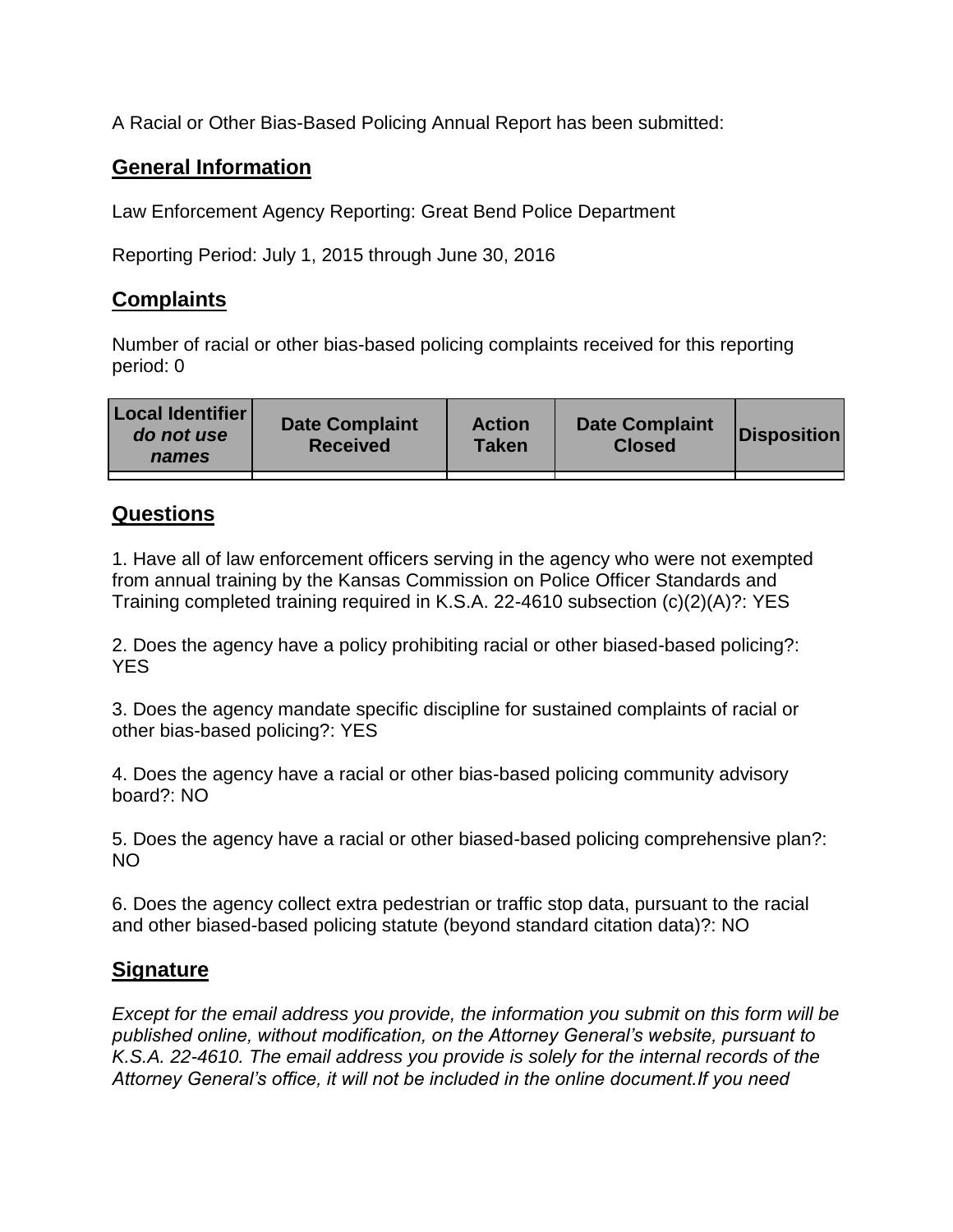A Racial or Other Bias-Based Policing Annual Report has been submitted:

## **General Information**

Law Enforcement Agency Reporting: Great Bend Police Department

Reporting Period: July 1, 2015 through June 30, 2016

## **Complaints**

Number of racial or other bias-based policing complaints received for this reporting period: 0

| <b>Local Identifier</b><br>do not use<br>names | <b>Date Complaint</b><br><b>Received</b> | <b>Action</b><br><b>Taken</b> | <b>Date Complaint</b><br><b>Closed</b> | Disposition |
|------------------------------------------------|------------------------------------------|-------------------------------|----------------------------------------|-------------|
|                                                |                                          |                               |                                        |             |

## **Questions**

1. Have all of law enforcement officers serving in the agency who were not exempted from annual training by the Kansas Commission on Police Officer Standards and Training completed training required in K.S.A. 22-4610 subsection (c)(2)(A)?: YES

2. Does the agency have a policy prohibiting racial or other biased-based policing?: YES

3. Does the agency mandate specific discipline for sustained complaints of racial or other bias-based policing?: YES

4. Does the agency have a racial or other bias-based policing community advisory board?: NO

5. Does the agency have a racial or other biased-based policing comprehensive plan?: NO

6. Does the agency collect extra pedestrian or traffic stop data, pursuant to the racial and other biased-based policing statute (beyond standard citation data)?: NO

## **Signature**

*Except for the email address you provide, the information you submit on this form will be published online, without modification, on the Attorney General's website, pursuant to K.S.A. 22-4610. The email address you provide is solely for the internal records of the Attorney General's office, it will not be included in the online document.If you need*